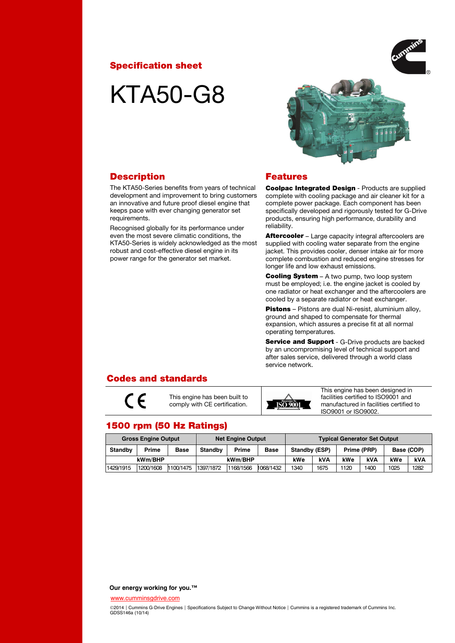## Specification sheet

# KTA50-G8



## **Description**

The KTA50-Series benefits from years of technical development and improvement to bring customers an innovative and future proof diesel engine that keeps pace with ever changing generator set requirements.

Recognised globally for its performance under even the most severe climatic conditions, the KTA50-Series is widely acknowledged as the most robust and cost-effective diesel engine in its power range for the generator set market.

## Features

Coolpac Integrated Design - Products are supplied complete with cooling package and air cleaner kit for a complete power package. Each component has been specifically developed and rigorously tested for G-Drive products, ensuring high performance, durability and reliability.

Aftercooler – Large capacity integral aftercoolers are supplied with cooling water separate from the engine jacket. This provides cooler, denser intake air for more complete combustion and reduced engine stresses for longer life and low exhaust emissions.

Cooling System – A two pump, two loop system must be employed; i.e. the engine jacket is cooled by one radiator or heat exchanger and the aftercoolers are cooled by a separate radiator or heat exchanger.

Pistons - Pistons are dual Ni-resist, aluminium alloy, ground and shaped to compensate for thermal expansion, which assures a precise fit at all normal operating temperatures.

Service and Support - G-Drive products are backed by an uncompromising level of technical support and after sales service, delivered through a world class service network.

## Codes and standards

 $\epsilon$ 

This engine has been built to comply with CE certification.



This engine has been designed in facilities certified to ISO9001 and manufactured in facilities certified to ISO9001 or ISO9002.

## 1500 rpm (50 Hz Ratings)

| <b>Gross Engine Output</b> |              |           | <b>Net Engine Output</b> |           |             | <b>Typical Generator Set Output</b> |      |      |             |      |            |
|----------------------------|--------------|-----------|--------------------------|-----------|-------------|-------------------------------------|------|------|-------------|------|------------|
| <b>Standby</b>             | <b>Prime</b> | Base      | <b>Standby</b>           | Prime     | <b>Base</b> | Standby (ESP)                       |      |      | Prime (PRP) |      | Base (COP) |
| kWm/BHP                    |              |           | kWm/BHP                  |           | kWe         | kVA                                 | kWe  | kVA  | kWe         | kVA  |            |
| 1429/1915                  | 1200/1608    | 1100/1475 | 1397/1872                | 1168/1566 | 1068/1432   | 1340                                | 1675 | 1120 | 1400        | 1025 | 1282       |

#### **Our energy working for you.™**

[www.cumminsgdrive.com](http://www.cumminsgdrive.com/)

©2014 | Cummins G-Drive Engines | Specifications Subject to Change Without Notice | Cummins is a registered trademark of Cummins Inc. GDSS146a (10/14)